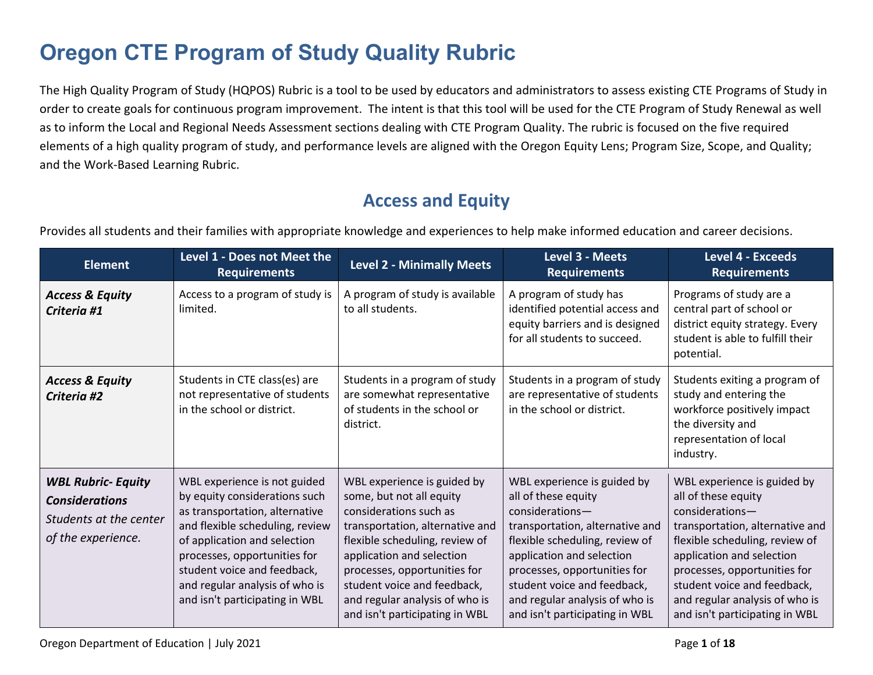# **Oregon CTE Program of Study Quality Rubric**

The High Quality Program of Study (HQPOS) Rubric is a tool to be used by educators and administrators to assess existing CTE Programs of Study in order to create goals for continuous program improvement. The intent is that this tool will be used for the CTE Program of Study Renewal as well as to inform the Local and Regional Needs Assessment sections dealing with CTE Program Quality. The rubric is focused on the five required elements of a high quality program of study, and performance levels are aligned with the Oregon Equity Lens; Program Size, Scope, and Quality; and the Work-Based Learning Rubric.

### **Access and Equity**

Provides all students and their families with appropriate knowledge and experiences to help make informed education and career decisions.

| <b>Element</b>                                                                                     | Level 1 - Does not Meet the<br><b>Requirements</b>                                                                                                                                                                                                                                                    | <b>Level 2 - Minimally Meets</b>                                                                                                                                                                                                                                                                                       | Level 3 - Meets<br><b>Requirements</b>                                                                                                                                                                                                                                                                       | Level 4 - Exceeds<br><b>Requirements</b>                                                                                                                                                                                                                                                                   |
|----------------------------------------------------------------------------------------------------|-------------------------------------------------------------------------------------------------------------------------------------------------------------------------------------------------------------------------------------------------------------------------------------------------------|------------------------------------------------------------------------------------------------------------------------------------------------------------------------------------------------------------------------------------------------------------------------------------------------------------------------|--------------------------------------------------------------------------------------------------------------------------------------------------------------------------------------------------------------------------------------------------------------------------------------------------------------|------------------------------------------------------------------------------------------------------------------------------------------------------------------------------------------------------------------------------------------------------------------------------------------------------------|
| <b>Access &amp; Equity</b><br>Criteria #1                                                          | Access to a program of study is<br>limited.                                                                                                                                                                                                                                                           | A program of study is available<br>to all students.                                                                                                                                                                                                                                                                    | A program of study has<br>identified potential access and<br>equity barriers and is designed<br>for all students to succeed.                                                                                                                                                                                 | Programs of study are a<br>central part of school or<br>district equity strategy. Every<br>student is able to fulfill their<br>potential.                                                                                                                                                                  |
| <b>Access &amp; Equity</b><br>Criteria #2                                                          | Students in CTE class(es) are<br>not representative of students<br>in the school or district.                                                                                                                                                                                                         | Students in a program of study<br>are somewhat representative<br>of students in the school or<br>district.                                                                                                                                                                                                             | Students in a program of study<br>are representative of students<br>in the school or district.                                                                                                                                                                                                               | Students exiting a program of<br>study and entering the<br>workforce positively impact<br>the diversity and<br>representation of local<br>industry.                                                                                                                                                        |
| <b>WBL Rubric- Equity</b><br><b>Considerations</b><br>Students at the center<br>of the experience. | WBL experience is not guided<br>by equity considerations such<br>as transportation, alternative<br>and flexible scheduling, review<br>of application and selection<br>processes, opportunities for<br>student voice and feedback,<br>and regular analysis of who is<br>and isn't participating in WBL | WBL experience is guided by<br>some, but not all equity<br>considerations such as<br>transportation, alternative and<br>flexible scheduling, review of<br>application and selection<br>processes, opportunities for<br>student voice and feedback,<br>and regular analysis of who is<br>and isn't participating in WBL | WBL experience is guided by<br>all of these equity<br>$considerations-$<br>transportation, alternative and<br>flexible scheduling, review of<br>application and selection<br>processes, opportunities for<br>student voice and feedback,<br>and regular analysis of who is<br>and isn't participating in WBL | WBL experience is guided by<br>all of these equity<br>considerations-<br>transportation, alternative and<br>flexible scheduling, review of<br>application and selection<br>processes, opportunities for<br>student voice and feedback,<br>and regular analysis of who is<br>and isn't participating in WBL |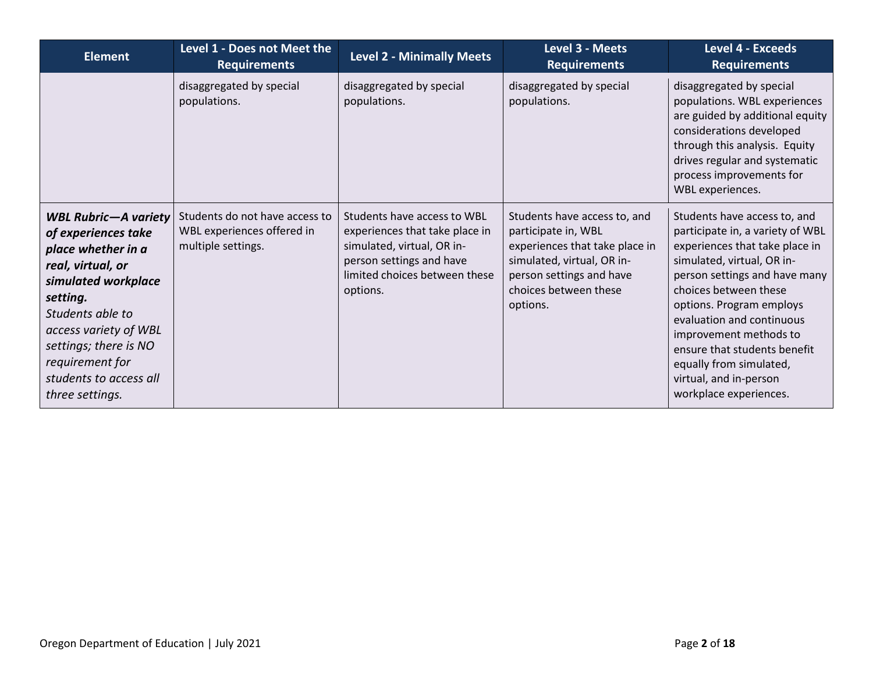| <b>Element</b>                                                                                                                                                                                                                                                         | Level 1 - Does not Meet the<br><b>Requirements</b>                                 | <b>Level 2 - Minimally Meets</b>                                                                                                                                     | Level 3 - Meets<br><b>Requirements</b>                                                                                                                                               | <b>Level 4 - Exceeds</b><br><b>Requirements</b>                                                                                                                                                                                                                                                                                                                                              |
|------------------------------------------------------------------------------------------------------------------------------------------------------------------------------------------------------------------------------------------------------------------------|------------------------------------------------------------------------------------|----------------------------------------------------------------------------------------------------------------------------------------------------------------------|--------------------------------------------------------------------------------------------------------------------------------------------------------------------------------------|----------------------------------------------------------------------------------------------------------------------------------------------------------------------------------------------------------------------------------------------------------------------------------------------------------------------------------------------------------------------------------------------|
|                                                                                                                                                                                                                                                                        | disaggregated by special<br>populations.                                           | disaggregated by special<br>populations.                                                                                                                             | disaggregated by special<br>populations.                                                                                                                                             | disaggregated by special<br>populations. WBL experiences<br>are guided by additional equity<br>considerations developed<br>through this analysis. Equity<br>drives regular and systematic<br>process improvements for<br><b>WBL</b> experiences.                                                                                                                                             |
| <b>WBL Rubric-A variety</b><br>of experiences take<br>place whether in a<br>real, virtual, or<br>simulated workplace<br>setting.<br>Students able to<br>access variety of WBL<br>settings; there is NO<br>requirement for<br>students to access all<br>three settings. | Students do not have access to<br>WBL experiences offered in<br>multiple settings. | Students have access to WBL<br>experiences that take place in<br>simulated, virtual, OR in-<br>person settings and have<br>limited choices between these<br>options. | Students have access to, and<br>participate in, WBL<br>experiences that take place in<br>simulated, virtual, OR in-<br>person settings and have<br>choices between these<br>options. | Students have access to, and<br>participate in, a variety of WBL<br>experiences that take place in<br>simulated, virtual, OR in-<br>person settings and have many<br>choices between these<br>options. Program employs<br>evaluation and continuous<br>improvement methods to<br>ensure that students benefit<br>equally from simulated,<br>virtual, and in-person<br>workplace experiences. |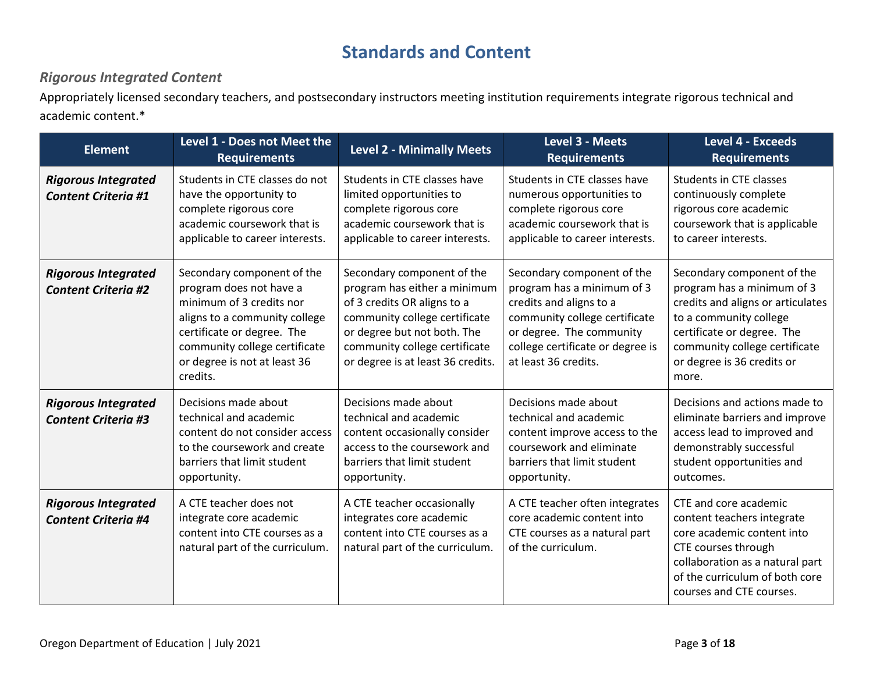### **Standards and Content**

#### *Rigorous Integrated Content*

Appropriately licensed secondary teachers, and postsecondary instructors meeting institution requirements integrate rigorous technical and academic content.\*

| <b>Element</b>                                           | Level 1 - Does not Meet the<br><b>Requirements</b>                                                                                                                                                                            | <b>Level 2 - Minimally Meets</b>                                                                                                                                                                                                | Level 3 - Meets<br><b>Requirements</b>                                                                                                                                                                       | <b>Level 4 - Exceeds</b><br><b>Requirements</b>                                                                                                                                                                               |
|----------------------------------------------------------|-------------------------------------------------------------------------------------------------------------------------------------------------------------------------------------------------------------------------------|---------------------------------------------------------------------------------------------------------------------------------------------------------------------------------------------------------------------------------|--------------------------------------------------------------------------------------------------------------------------------------------------------------------------------------------------------------|-------------------------------------------------------------------------------------------------------------------------------------------------------------------------------------------------------------------------------|
| <b>Rigorous Integrated</b><br><b>Content Criteria #1</b> | Students in CTE classes do not<br>have the opportunity to<br>complete rigorous core<br>academic coursework that is<br>applicable to career interests.                                                                         | Students in CTE classes have<br>limited opportunities to<br>complete rigorous core<br>academic coursework that is<br>applicable to career interests.                                                                            | Students in CTE classes have<br>numerous opportunities to<br>complete rigorous core<br>academic coursework that is<br>applicable to career interests.                                                        | <b>Students in CTE classes</b><br>continuously complete<br>rigorous core academic<br>coursework that is applicable<br>to career interests.                                                                                    |
| <b>Rigorous Integrated</b><br><b>Content Criteria #2</b> | Secondary component of the<br>program does not have a<br>minimum of 3 credits nor<br>aligns to a community college<br>certificate or degree. The<br>community college certificate<br>or degree is not at least 36<br>credits. | Secondary component of the<br>program has either a minimum<br>of 3 credits OR aligns to a<br>community college certificate<br>or degree but not both. The<br>community college certificate<br>or degree is at least 36 credits. | Secondary component of the<br>program has a minimum of 3<br>credits and aligns to a<br>community college certificate<br>or degree. The community<br>college certificate or degree is<br>at least 36 credits. | Secondary component of the<br>program has a minimum of 3<br>credits and aligns or articulates<br>to a community college<br>certificate or degree. The<br>community college certificate<br>or degree is 36 credits or<br>more. |
| <b>Rigorous Integrated</b><br><b>Content Criteria #3</b> | Decisions made about<br>technical and academic<br>content do not consider access<br>to the coursework and create<br>barriers that limit student<br>opportunity.                                                               | Decisions made about<br>technical and academic<br>content occasionally consider<br>access to the coursework and<br>barriers that limit student<br>opportunity.                                                                  | Decisions made about<br>technical and academic<br>content improve access to the<br>coursework and eliminate<br>barriers that limit student<br>opportunity.                                                   | Decisions and actions made to<br>eliminate barriers and improve<br>access lead to improved and<br>demonstrably successful<br>student opportunities and<br>outcomes.                                                           |
| <b>Rigorous Integrated</b><br><b>Content Criteria #4</b> | A CTE teacher does not<br>integrate core academic<br>content into CTE courses as a<br>natural part of the curriculum.                                                                                                         | A CTE teacher occasionally<br>integrates core academic<br>content into CTE courses as a<br>natural part of the curriculum.                                                                                                      | A CTE teacher often integrates<br>core academic content into<br>CTE courses as a natural part<br>of the curriculum.                                                                                          | CTE and core academic<br>content teachers integrate<br>core academic content into<br>CTE courses through<br>collaboration as a natural part<br>of the curriculum of both core<br>courses and CTE courses.                     |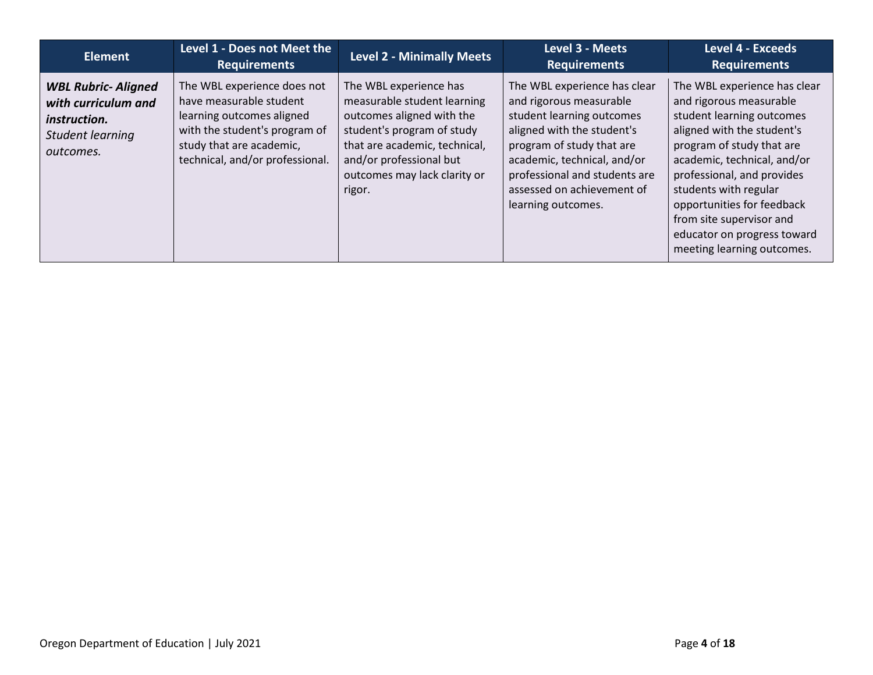| <b>Element</b>                                                                                            | Level 1 - Does not Meet the<br><b>Requirements</b>                                                                                                                                  | <b>Level 2 - Minimally Meets</b>                                                                                                                                                                                       | Level 3 - Meets<br><b>Requirements</b>                                                                                                                                                                                                                              | <b>Level 4 - Exceeds</b><br><b>Requirements</b>                                                                                                                                                                                                                                                                                                              |
|-----------------------------------------------------------------------------------------------------------|-------------------------------------------------------------------------------------------------------------------------------------------------------------------------------------|------------------------------------------------------------------------------------------------------------------------------------------------------------------------------------------------------------------------|---------------------------------------------------------------------------------------------------------------------------------------------------------------------------------------------------------------------------------------------------------------------|--------------------------------------------------------------------------------------------------------------------------------------------------------------------------------------------------------------------------------------------------------------------------------------------------------------------------------------------------------------|
| <b>WBL Rubric- Aligned</b><br>with curriculum and<br><i>instruction.</i><br>Student learning<br>outcomes. | The WBL experience does not<br>have measurable student<br>learning outcomes aligned<br>with the student's program of<br>study that are academic,<br>technical, and/or professional. | The WBL experience has<br>measurable student learning<br>outcomes aligned with the<br>student's program of study<br>that are academic, technical,<br>and/or professional but<br>outcomes may lack clarity or<br>rigor. | The WBL experience has clear<br>and rigorous measurable<br>student learning outcomes<br>aligned with the student's<br>program of study that are<br>academic, technical, and/or<br>professional and students are<br>assessed on achievement of<br>learning outcomes. | The WBL experience has clear<br>and rigorous measurable<br>student learning outcomes<br>aligned with the student's<br>program of study that are<br>academic, technical, and/or<br>professional, and provides<br>students with regular<br>opportunities for feedback<br>from site supervisor and<br>educator on progress toward<br>meeting learning outcomes. |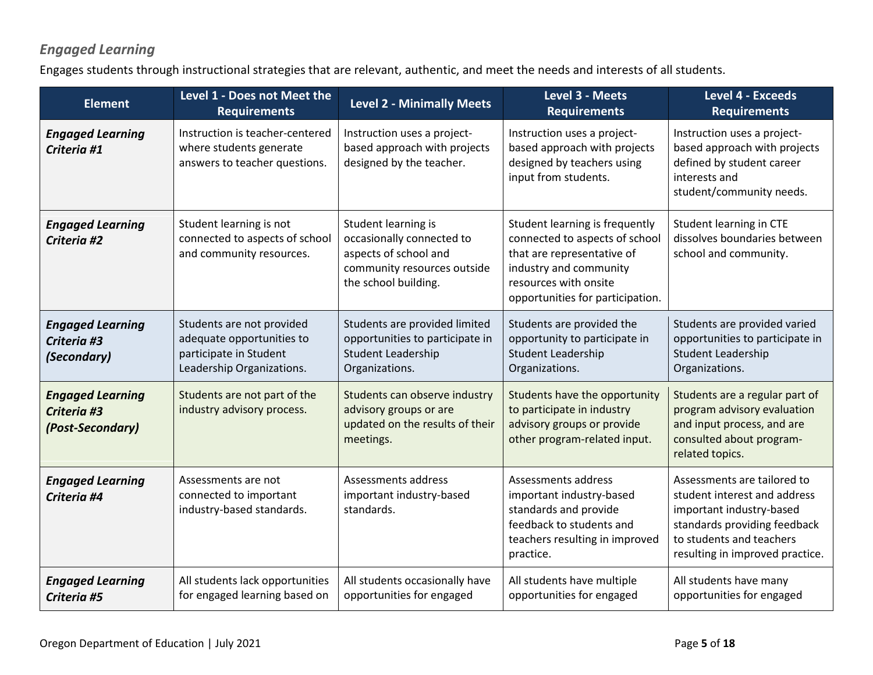### *Engaged Learning*

Engages students through instructional strategies that are relevant, authentic, and meet the needs and interests of all students.

| <b>Element</b>                                             | Level 1 - Does not Meet the<br><b>Requirements</b>                                                            | <b>Level 2 - Minimally Meets</b>                                                                                                 | Level 3 - Meets<br><b>Requirements</b>                                                                                                                                                | <b>Level 4 - Exceeds</b><br><b>Requirements</b>                                                                                                                                        |
|------------------------------------------------------------|---------------------------------------------------------------------------------------------------------------|----------------------------------------------------------------------------------------------------------------------------------|---------------------------------------------------------------------------------------------------------------------------------------------------------------------------------------|----------------------------------------------------------------------------------------------------------------------------------------------------------------------------------------|
| <b>Engaged Learning</b><br>Criteria #1                     | Instruction is teacher-centered<br>where students generate<br>answers to teacher questions.                   | Instruction uses a project-<br>based approach with projects<br>designed by the teacher.                                          | Instruction uses a project-<br>based approach with projects<br>designed by teachers using<br>input from students.                                                                     | Instruction uses a project-<br>based approach with projects<br>defined by student career<br>interests and<br>student/community needs.                                                  |
| <b>Engaged Learning</b><br>Criteria #2                     | Student learning is not<br>connected to aspects of school<br>and community resources.                         | Student learning is<br>occasionally connected to<br>aspects of school and<br>community resources outside<br>the school building. | Student learning is frequently<br>connected to aspects of school<br>that are representative of<br>industry and community<br>resources with onsite<br>opportunities for participation. | Student learning in CTE<br>dissolves boundaries between<br>school and community.                                                                                                       |
| <b>Engaged Learning</b><br>Criteria #3<br>(Secondary)      | Students are not provided<br>adequate opportunities to<br>participate in Student<br>Leadership Organizations. | Students are provided limited<br>opportunities to participate in<br><b>Student Leadership</b><br>Organizations.                  | Students are provided the<br>opportunity to participate in<br><b>Student Leadership</b><br>Organizations.                                                                             | Students are provided varied<br>opportunities to participate in<br><b>Student Leadership</b><br>Organizations.                                                                         |
| <b>Engaged Learning</b><br>Criteria #3<br>(Post-Secondary) | Students are not part of the<br>industry advisory process.                                                    | Students can observe industry<br>advisory groups or are<br>updated on the results of their<br>meetings.                          | Students have the opportunity<br>to participate in industry<br>advisory groups or provide<br>other program-related input.                                                             | Students are a regular part of<br>program advisory evaluation<br>and input process, and are<br>consulted about program-<br>related topics.                                             |
| <b>Engaged Learning</b><br>Criteria #4                     | Assessments are not<br>connected to important<br>industry-based standards.                                    | Assessments address<br>important industry-based<br>standards.                                                                    | Assessments address<br>important industry-based<br>standards and provide<br>feedback to students and<br>teachers resulting in improved<br>practice.                                   | Assessments are tailored to<br>student interest and address<br>important industry-based<br>standards providing feedback<br>to students and teachers<br>resulting in improved practice. |
| <b>Engaged Learning</b><br>Criteria #5                     | All students lack opportunities<br>for engaged learning based on                                              | All students occasionally have<br>opportunities for engaged                                                                      | All students have multiple<br>opportunities for engaged                                                                                                                               | All students have many<br>opportunities for engaged                                                                                                                                    |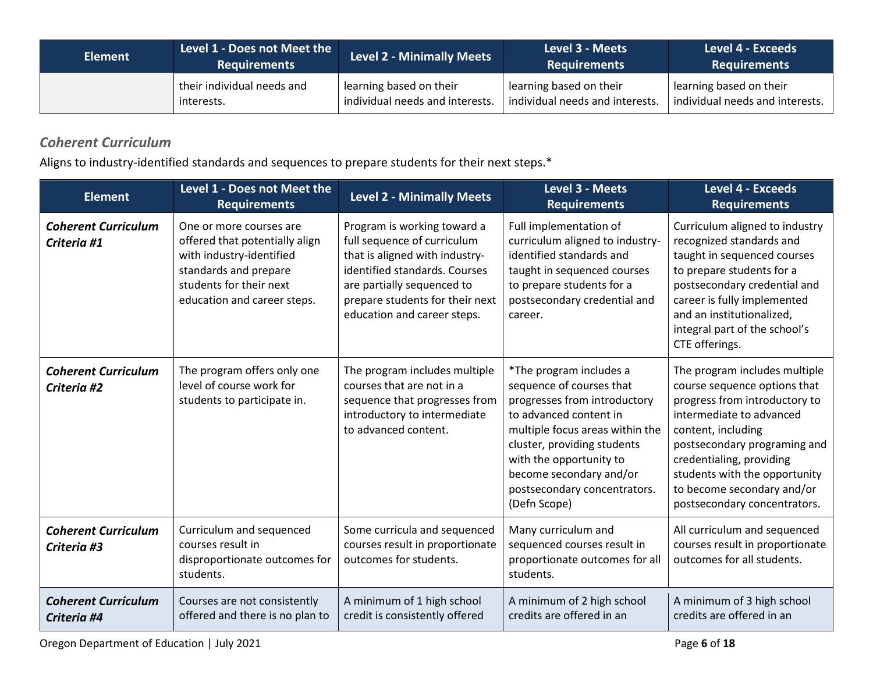| <b>Element</b> | Level 1 - Does not Meet the<br><b>Requirements</b> | <b>Level 2 - Minimally Meets</b> | Level 3 - Meets<br><b>Requirements</b> | Level 4 - Exceeds<br><b>Requirements</b> |
|----------------|----------------------------------------------------|----------------------------------|----------------------------------------|------------------------------------------|
|                | their individual needs and                         | learning based on their          | learning based on their                | learning based on their                  |
|                | interests.                                         | individual needs and interests.  | individual needs and interests.        | individual needs and interests.          |

### *Coherent Curriculum*

Aligns to industry-identified standards and sequences to prepare students for their next steps.\*

| <b>Element</b>                            | Level 1 - Does not Meet the<br><b>Requirements</b>                                                                                                                       | <b>Level 2 - Minimally Meets</b>                                                                                                                                                                                              | Level 3 - Meets<br><b>Requirements</b>                                                                                                                                                                                                                                                | <b>Level 4 - Exceeds</b><br><b>Requirements</b>                                                                                                                                                                                                                                                             |
|-------------------------------------------|--------------------------------------------------------------------------------------------------------------------------------------------------------------------------|-------------------------------------------------------------------------------------------------------------------------------------------------------------------------------------------------------------------------------|---------------------------------------------------------------------------------------------------------------------------------------------------------------------------------------------------------------------------------------------------------------------------------------|-------------------------------------------------------------------------------------------------------------------------------------------------------------------------------------------------------------------------------------------------------------------------------------------------------------|
| <b>Coherent Curriculum</b><br>Criteria #1 | One or more courses are<br>offered that potentially align<br>with industry-identified<br>standards and prepare<br>students for their next<br>education and career steps. | Program is working toward a<br>full sequence of curriculum<br>that is aligned with industry-<br>identified standards. Courses<br>are partially sequenced to<br>prepare students for their next<br>education and career steps. | Full implementation of<br>curriculum aligned to industry-<br>identified standards and<br>taught in sequenced courses<br>to prepare students for a<br>postsecondary credential and<br>career.                                                                                          | Curriculum aligned to industry<br>recognized standards and<br>taught in sequenced courses<br>to prepare students for a<br>postsecondary credential and<br>career is fully implemented<br>and an institutionalized,<br>integral part of the school's<br>CTE offerings.                                       |
| <b>Coherent Curriculum</b><br>Criteria #2 | The program offers only one<br>level of course work for<br>students to participate in.                                                                                   | The program includes multiple<br>courses that are not in a<br>sequence that progresses from<br>introductory to intermediate<br>to advanced content.                                                                           | *The program includes a<br>sequence of courses that<br>progresses from introductory<br>to advanced content in<br>multiple focus areas within the<br>cluster, providing students<br>with the opportunity to<br>become secondary and/or<br>postsecondary concentrators.<br>(Defn Scope) | The program includes multiple<br>course sequence options that<br>progress from introductory to<br>intermediate to advanced<br>content, including<br>postsecondary programing and<br>credentialing, providing<br>students with the opportunity<br>to become secondary and/or<br>postsecondary concentrators. |
| <b>Coherent Curriculum</b><br>Criteria #3 | Curriculum and sequenced<br>courses result in<br>disproportionate outcomes for<br>students.                                                                              | Some curricula and sequenced<br>courses result in proportionate<br>outcomes for students.                                                                                                                                     | Many curriculum and<br>sequenced courses result in<br>proportionate outcomes for all<br>students.                                                                                                                                                                                     | All curriculum and sequenced<br>courses result in proportionate<br>outcomes for all students.                                                                                                                                                                                                               |
| <b>Coherent Curriculum</b><br>Criteria #4 | Courses are not consistently<br>offered and there is no plan to                                                                                                          | A minimum of 1 high school<br>credit is consistently offered                                                                                                                                                                  | A minimum of 2 high school<br>credits are offered in an                                                                                                                                                                                                                               | A minimum of 3 high school<br>credits are offered in an                                                                                                                                                                                                                                                     |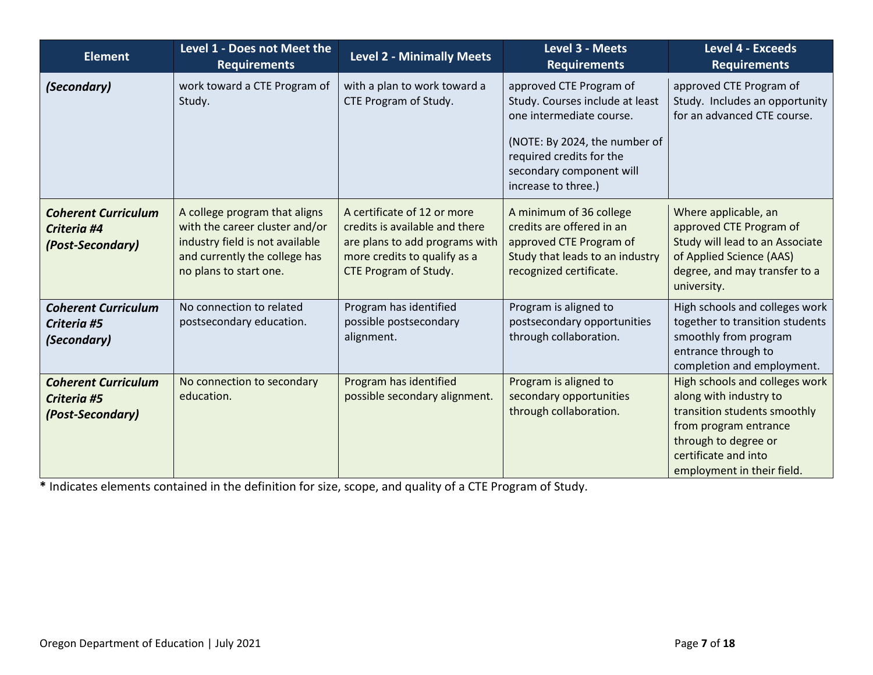| <b>Element</b>                                                | Level 1 - Does not Meet the<br><b>Requirements</b>                                                                                                            | <b>Level 2 - Minimally Meets</b>                                                                                                                         | Level 3 - Meets<br><b>Requirements</b>                                                                                                                                                                 | Level 4 - Exceeds<br><b>Requirements</b>                                                                                                                                                        |
|---------------------------------------------------------------|---------------------------------------------------------------------------------------------------------------------------------------------------------------|----------------------------------------------------------------------------------------------------------------------------------------------------------|--------------------------------------------------------------------------------------------------------------------------------------------------------------------------------------------------------|-------------------------------------------------------------------------------------------------------------------------------------------------------------------------------------------------|
| (Secondary)                                                   | work toward a CTE Program of<br>Study.                                                                                                                        | with a plan to work toward a<br>CTE Program of Study.                                                                                                    | approved CTE Program of<br>Study. Courses include at least<br>one intermediate course.<br>(NOTE: By 2024, the number of<br>required credits for the<br>secondary component will<br>increase to three.) | approved CTE Program of<br>Study. Includes an opportunity<br>for an advanced CTE course.                                                                                                        |
| <b>Coherent Curriculum</b><br>Criteria #4<br>(Post-Secondary) | A college program that aligns<br>with the career cluster and/or<br>industry field is not available<br>and currently the college has<br>no plans to start one. | A certificate of 12 or more<br>credits is available and there<br>are plans to add programs with<br>more credits to qualify as a<br>CTE Program of Study. | A minimum of 36 college<br>credits are offered in an<br>approved CTE Program of<br>Study that leads to an industry<br>recognized certificate.                                                          | Where applicable, an<br>approved CTE Program of<br>Study will lead to an Associate<br>of Applied Science (AAS)<br>degree, and may transfer to a<br>university.                                  |
| <b>Coherent Curriculum</b><br>Criteria #5<br>(Secondary)      | No connection to related<br>postsecondary education.                                                                                                          | Program has identified<br>possible postsecondary<br>alignment.                                                                                           | Program is aligned to<br>postsecondary opportunities<br>through collaboration.                                                                                                                         | High schools and colleges work<br>together to transition students<br>smoothly from program<br>entrance through to<br>completion and employment.                                                 |
| <b>Coherent Curriculum</b><br>Criteria #5<br>(Post-Secondary) | No connection to secondary<br>education.                                                                                                                      | Program has identified<br>possible secondary alignment.                                                                                                  | Program is aligned to<br>secondary opportunities<br>through collaboration.                                                                                                                             | High schools and colleges work<br>along with industry to<br>transition students smoothly<br>from program entrance<br>through to degree or<br>certificate and into<br>employment in their field. |

**\*** Indicates elements contained in the definition for size, scope, and quality of a CTE Program of Study.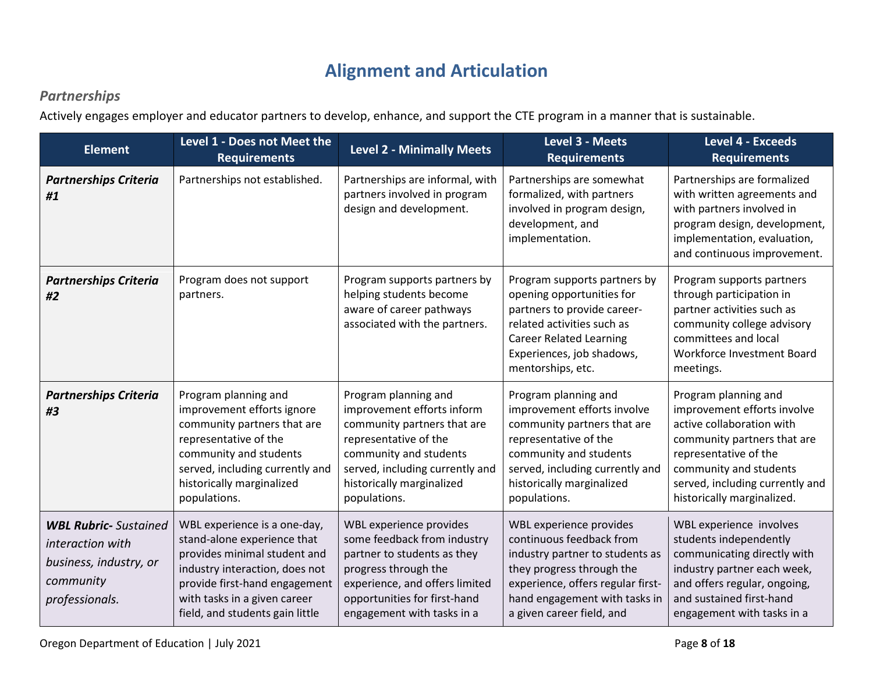# **Alignment and Articulation**

#### *Partnerships*

Actively engages employer and educator partners to develop, enhance, and support the CTE program in a manner that is sustainable.

| <b>Element</b>                                                                                            | Level 1 - Does not Meet the<br><b>Requirements</b>                                                                                                                                                                                | <b>Level 2 - Minimally Meets</b>                                                                                                                                                                                     | Level 3 - Meets<br><b>Requirements</b>                                                                                                                                                                                 | <b>Level 4 - Exceeds</b><br><b>Requirements</b>                                                                                                                                                                                     |
|-----------------------------------------------------------------------------------------------------------|-----------------------------------------------------------------------------------------------------------------------------------------------------------------------------------------------------------------------------------|----------------------------------------------------------------------------------------------------------------------------------------------------------------------------------------------------------------------|------------------------------------------------------------------------------------------------------------------------------------------------------------------------------------------------------------------------|-------------------------------------------------------------------------------------------------------------------------------------------------------------------------------------------------------------------------------------|
| <b>Partnerships Criteria</b><br>#1                                                                        | Partnerships not established.                                                                                                                                                                                                     | Partnerships are informal, with<br>partners involved in program<br>design and development.                                                                                                                           | Partnerships are somewhat<br>formalized, with partners<br>involved in program design,<br>development, and<br>implementation.                                                                                           | Partnerships are formalized<br>with written agreements and<br>with partners involved in<br>program design, development,<br>implementation, evaluation,<br>and continuous improvement.                                               |
| <b>Partnerships Criteria</b><br>#2                                                                        | Program does not support<br>partners.                                                                                                                                                                                             | Program supports partners by<br>helping students become<br>aware of career pathways<br>associated with the partners.                                                                                                 | Program supports partners by<br>opening opportunities for<br>partners to provide career-<br>related activities such as<br><b>Career Related Learning</b><br>Experiences, job shadows,<br>mentorships, etc.             | Program supports partners<br>through participation in<br>partner activities such as<br>community college advisory<br>committees and local<br>Workforce Investment Board<br>meetings.                                                |
| <b>Partnerships Criteria</b><br>#3                                                                        | Program planning and<br>improvement efforts ignore<br>community partners that are<br>representative of the<br>community and students<br>served, including currently and<br>historically marginalized<br>populations.              | Program planning and<br>improvement efforts inform<br>community partners that are<br>representative of the<br>community and students<br>served, including currently and<br>historically marginalized<br>populations. | Program planning and<br>improvement efforts involve<br>community partners that are<br>representative of the<br>community and students<br>served, including currently and<br>historically marginalized<br>populations.  | Program planning and<br>improvement efforts involve<br>active collaboration with<br>community partners that are<br>representative of the<br>community and students<br>served, including currently and<br>historically marginalized. |
| <b>WBL Rubric-</b> Sustained<br>interaction with<br>business, industry, or<br>community<br>professionals. | WBL experience is a one-day,<br>stand-alone experience that<br>provides minimal student and<br>industry interaction, does not<br>provide first-hand engagement<br>with tasks in a given career<br>field, and students gain little | WBL experience provides<br>some feedback from industry<br>partner to students as they<br>progress through the<br>experience, and offers limited<br>opportunities for first-hand<br>engagement with tasks in a        | WBL experience provides<br>continuous feedback from<br>industry partner to students as<br>they progress through the<br>experience, offers regular first-<br>hand engagement with tasks in<br>a given career field, and | WBL experience involves<br>students independently<br>communicating directly with<br>industry partner each week,<br>and offers regular, ongoing,<br>and sustained first-hand<br>engagement with tasks in a                           |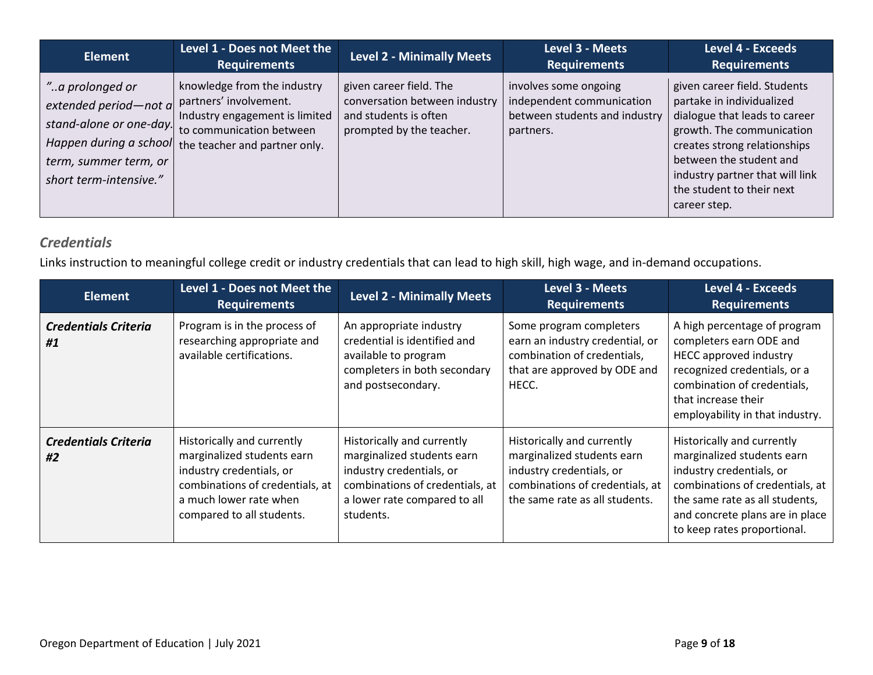| <b>Element</b>                                                                                                                                     | <b>Level 1 - Does not Meet the</b><br><b>Requirements</b>                                                                                            | <b>Level 2 - Minimally Meets</b>                                                                              | Level 3 - Meets<br><b>Requirements</b>                                                           | <b>Level 4 - Exceeds</b><br><b>Requirements</b>                                                                                                                                                                                                                    |
|----------------------------------------------------------------------------------------------------------------------------------------------------|------------------------------------------------------------------------------------------------------------------------------------------------------|---------------------------------------------------------------------------------------------------------------|--------------------------------------------------------------------------------------------------|--------------------------------------------------------------------------------------------------------------------------------------------------------------------------------------------------------------------------------------------------------------------|
| "a prolonged or<br>extended period-not $a$<br>stand-alone or one-day.<br>Happen during a school<br>term, summer term, or<br>short term-intensive." | knowledge from the industry<br>partners' involvement.<br>Industry engagement is limited<br>to communication between<br>the teacher and partner only. | given career field. The<br>conversation between industry<br>and students is often<br>prompted by the teacher. | involves some ongoing<br>independent communication<br>between students and industry<br>partners. | given career field. Students<br>partake in individualized<br>dialogue that leads to career<br>growth. The communication<br>creates strong relationships<br>between the student and<br>industry partner that will link<br>the student to their next<br>career step. |

#### *Credentials*

Links instruction to meaningful college credit or industry credentials that can lead to high skill, high wage, and in-demand occupations.

| <b>Element</b>                    | Level 1 - Does not Meet the<br><b>Requirements</b>                                                                                                                             | <b>Level 2 - Minimally Meets</b>                                                                                                                                     | Level 3 - Meets<br><b>Requirements</b>                                                                                                                    | <b>Level 4 - Exceeds</b><br><b>Requirements</b>                                                                                                                                                                             |
|-----------------------------------|--------------------------------------------------------------------------------------------------------------------------------------------------------------------------------|----------------------------------------------------------------------------------------------------------------------------------------------------------------------|-----------------------------------------------------------------------------------------------------------------------------------------------------------|-----------------------------------------------------------------------------------------------------------------------------------------------------------------------------------------------------------------------------|
| <b>Credentials Criteria</b><br>#1 | Program is in the process of<br>researching appropriate and<br>available certifications.                                                                                       | An appropriate industry<br>credential is identified and<br>available to program<br>completers in both secondary<br>and postsecondary.                                | Some program completers<br>earn an industry credential, or<br>combination of credentials,<br>that are approved by ODE and<br>HECC.                        | A high percentage of program<br>completers earn ODE and<br><b>HECC approved industry</b><br>recognized credentials, or a<br>combination of credentials,<br>that increase their<br>employability in that industry.           |
| <b>Credentials Criteria</b><br>#2 | Historically and currently<br>marginalized students earn<br>industry credentials, or<br>combinations of credentials, at<br>a much lower rate when<br>compared to all students. | Historically and currently<br>marginalized students earn<br>industry credentials, or<br>combinations of credentials, at<br>a lower rate compared to all<br>students. | Historically and currently<br>marginalized students earn<br>industry credentials, or<br>combinations of credentials, at<br>the same rate as all students. | Historically and currently<br>marginalized students earn<br>industry credentials, or<br>combinations of credentials, at<br>the same rate as all students,<br>and concrete plans are in place<br>to keep rates proportional. |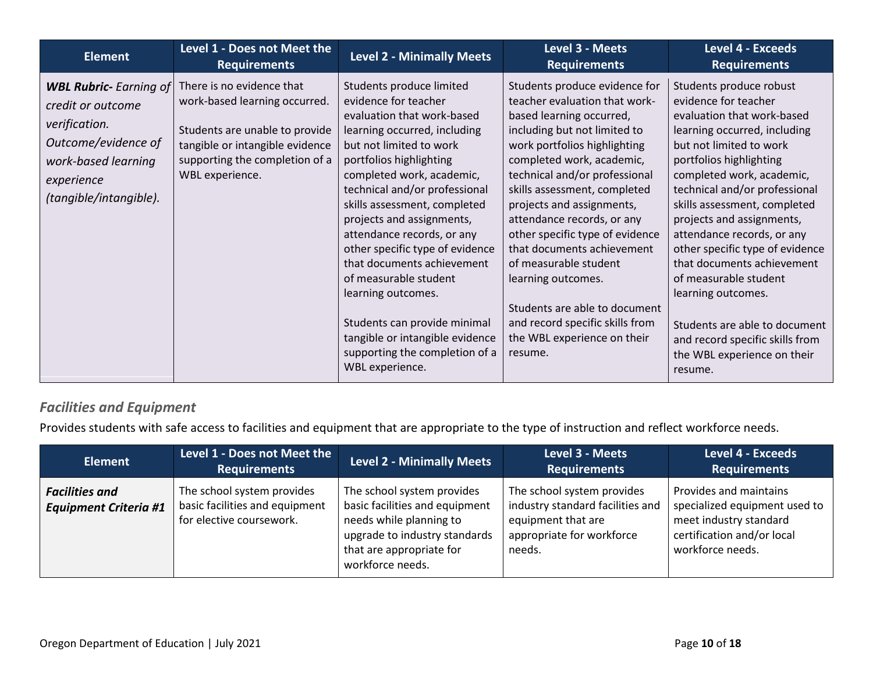| <b>Element</b>                                                                                                                                            | Level 1 - Does not Meet the<br><b>Requirements</b>                                                                                                                                   | <b>Level 2 - Minimally Meets</b>                                                                                                                                                                                                                                                                                                                                                                                                                                                                                                                                      | Level 3 - Meets<br><b>Requirements</b>                                                                                                                                                                                                                                                                                                                                                                                                                                                                                                            | <b>Level 4 - Exceeds</b><br><b>Requirements</b>                                                                                                                                                                                                                                                                                                                                                                                                                                                                                                            |
|-----------------------------------------------------------------------------------------------------------------------------------------------------------|--------------------------------------------------------------------------------------------------------------------------------------------------------------------------------------|-----------------------------------------------------------------------------------------------------------------------------------------------------------------------------------------------------------------------------------------------------------------------------------------------------------------------------------------------------------------------------------------------------------------------------------------------------------------------------------------------------------------------------------------------------------------------|---------------------------------------------------------------------------------------------------------------------------------------------------------------------------------------------------------------------------------------------------------------------------------------------------------------------------------------------------------------------------------------------------------------------------------------------------------------------------------------------------------------------------------------------------|------------------------------------------------------------------------------------------------------------------------------------------------------------------------------------------------------------------------------------------------------------------------------------------------------------------------------------------------------------------------------------------------------------------------------------------------------------------------------------------------------------------------------------------------------------|
| <b>WBL Rubric-</b> Earning of<br>credit or outcome<br>verification.<br>Outcome/evidence of<br>work-based learning<br>experience<br>(tangible/intangible). | There is no evidence that<br>work-based learning occurred.<br>Students are unable to provide<br>tangible or intangible evidence<br>supporting the completion of a<br>WBL experience. | Students produce limited<br>evidence for teacher<br>evaluation that work-based<br>learning occurred, including<br>but not limited to work<br>portfolios highlighting<br>completed work, academic,<br>technical and/or professional<br>skills assessment, completed<br>projects and assignments,<br>attendance records, or any<br>other specific type of evidence<br>that documents achievement<br>of measurable student<br>learning outcomes.<br>Students can provide minimal<br>tangible or intangible evidence<br>supporting the completion of a<br>WBL experience. | Students produce evidence for<br>teacher evaluation that work-<br>based learning occurred,<br>including but not limited to<br>work portfolios highlighting<br>completed work, academic,<br>technical and/or professional<br>skills assessment, completed<br>projects and assignments,<br>attendance records, or any<br>other specific type of evidence<br>that documents achievement<br>of measurable student<br>learning outcomes.<br>Students are able to document<br>and record specific skills from<br>the WBL experience on their<br>resume. | Students produce robust<br>evidence for teacher<br>evaluation that work-based<br>learning occurred, including<br>but not limited to work<br>portfolios highlighting<br>completed work, academic,<br>technical and/or professional<br>skills assessment, completed<br>projects and assignments,<br>attendance records, or any<br>other specific type of evidence<br>that documents achievement<br>of measurable student<br>learning outcomes.<br>Students are able to document<br>and record specific skills from<br>the WBL experience on their<br>resume. |

#### *Facilities and Equipment*

Provides students with safe access to facilities and equipment that are appropriate to the type of instruction and reflect workforce needs.

| <b>Element</b>                                        | Level 1 - Does not Meet the<br><b>Requirements</b>                                       | <b>Level 2 - Minimally Meets</b>                                                                                                                                         | Level 3 - Meets<br><b>Requirements</b>                                                                                      | <b>Level 4 - Exceeds</b><br><b>Requirements</b>                                                                                     |
|-------------------------------------------------------|------------------------------------------------------------------------------------------|--------------------------------------------------------------------------------------------------------------------------------------------------------------------------|-----------------------------------------------------------------------------------------------------------------------------|-------------------------------------------------------------------------------------------------------------------------------------|
| <b>Facilities and</b><br><b>Equipment Criteria #1</b> | The school system provides<br>basic facilities and equipment<br>for elective coursework. | The school system provides<br>basic facilities and equipment<br>needs while planning to<br>upgrade to industry standards<br>that are appropriate for<br>workforce needs. | The school system provides<br>industry standard facilities and<br>equipment that are<br>appropriate for workforce<br>needs. | Provides and maintains<br>specialized equipment used to<br>meet industry standard<br>certification and/or local<br>workforce needs. |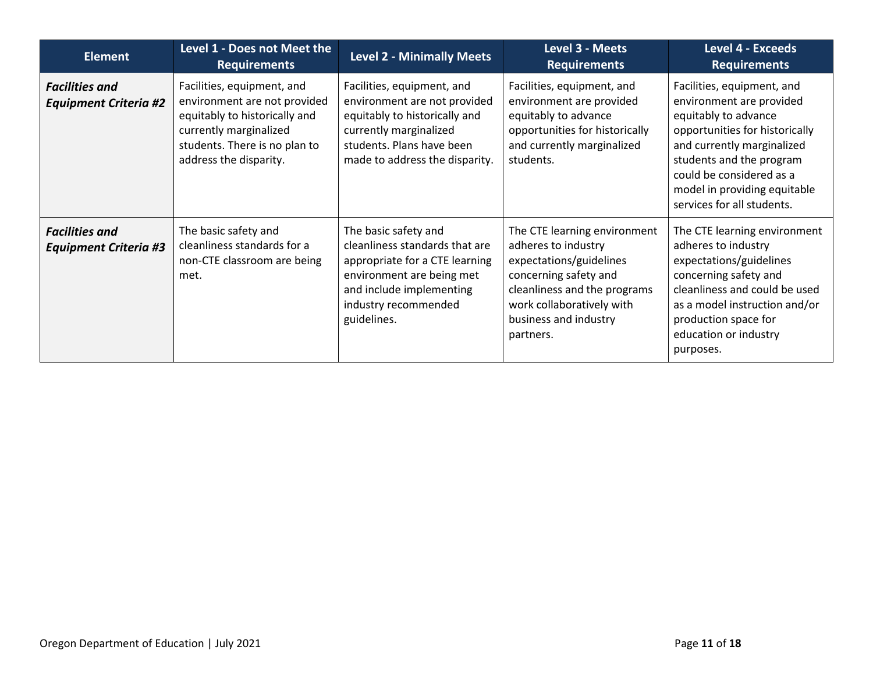| <b>Element</b>                                        | Level 1 - Does not Meet the<br><b>Requirements</b>                                                                                                                               | <b>Level 2 - Minimally Meets</b>                                                                                                                                                         | Level 3 - Meets<br><b>Requirements</b>                                                                                                                                                                     | <b>Level 4 - Exceeds</b><br><b>Requirements</b>                                                                                                                                                                                                                      |
|-------------------------------------------------------|----------------------------------------------------------------------------------------------------------------------------------------------------------------------------------|------------------------------------------------------------------------------------------------------------------------------------------------------------------------------------------|------------------------------------------------------------------------------------------------------------------------------------------------------------------------------------------------------------|----------------------------------------------------------------------------------------------------------------------------------------------------------------------------------------------------------------------------------------------------------------------|
| <b>Facilities and</b><br><b>Equipment Criteria #2</b> | Facilities, equipment, and<br>environment are not provided<br>equitably to historically and<br>currently marginalized<br>students. There is no plan to<br>address the disparity. | Facilities, equipment, and<br>environment are not provided<br>equitably to historically and<br>currently marginalized<br>students. Plans have been<br>made to address the disparity.     | Facilities, equipment, and<br>environment are provided<br>equitably to advance<br>opportunities for historically<br>and currently marginalized<br>students.                                                | Facilities, equipment, and<br>environment are provided<br>equitably to advance<br>opportunities for historically<br>and currently marginalized<br>students and the program<br>could be considered as a<br>model in providing equitable<br>services for all students. |
| <b>Facilities and</b><br><b>Equipment Criteria #3</b> | The basic safety and<br>cleanliness standards for a<br>non-CTE classroom are being<br>met.                                                                                       | The basic safety and<br>cleanliness standards that are<br>appropriate for a CTE learning<br>environment are being met<br>and include implementing<br>industry recommended<br>guidelines. | The CTE learning environment<br>adheres to industry<br>expectations/guidelines<br>concerning safety and<br>cleanliness and the programs<br>work collaboratively with<br>business and industry<br>partners. | The CTE learning environment<br>adheres to industry<br>expectations/guidelines<br>concerning safety and<br>cleanliness and could be used<br>as a model instruction and/or<br>production space for<br>education or industry<br>purposes.                              |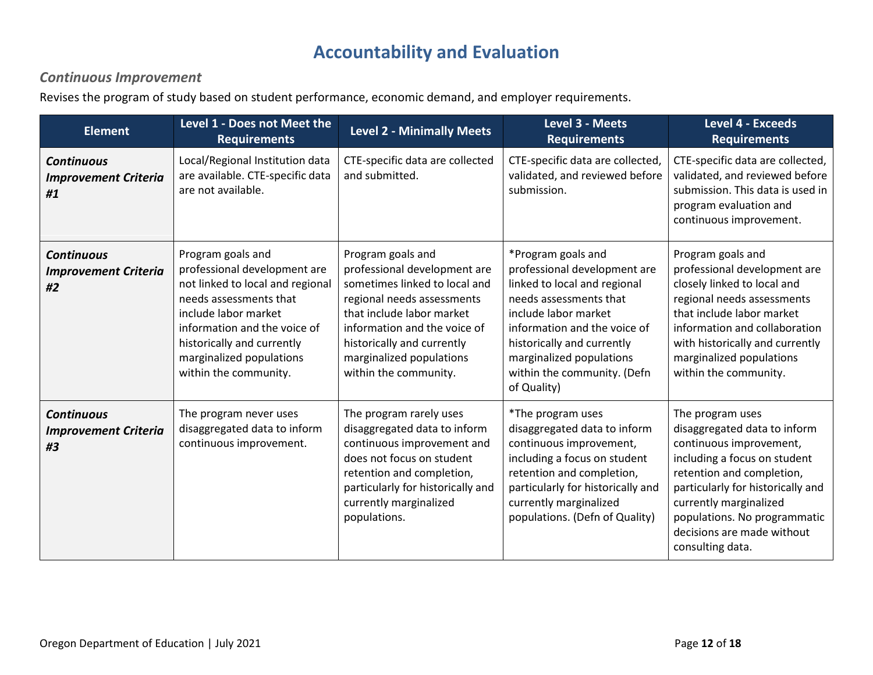### **Accountability and Evaluation**

#### *Continuous Improvement*

Revises the program of study based on student performance, economic demand, and employer requirements.

| <b>Element</b>                                         | Level 1 - Does not Meet the<br><b>Requirements</b>                                                                                                                                                                                                         | <b>Level 2 - Minimally Meets</b>                                                                                                                                                                                                                                 | Level 3 - Meets<br><b>Requirements</b>                                                                                                                                                                                                                                       | <b>Level 4 - Exceeds</b><br><b>Requirements</b>                                                                                                                                                                                                                                           |
|--------------------------------------------------------|------------------------------------------------------------------------------------------------------------------------------------------------------------------------------------------------------------------------------------------------------------|------------------------------------------------------------------------------------------------------------------------------------------------------------------------------------------------------------------------------------------------------------------|------------------------------------------------------------------------------------------------------------------------------------------------------------------------------------------------------------------------------------------------------------------------------|-------------------------------------------------------------------------------------------------------------------------------------------------------------------------------------------------------------------------------------------------------------------------------------------|
| <b>Continuous</b><br><b>Improvement Criteria</b><br>#1 | Local/Regional Institution data<br>are available. CTE-specific data<br>are not available.                                                                                                                                                                  | CTE-specific data are collected<br>and submitted.                                                                                                                                                                                                                | CTE-specific data are collected,<br>validated, and reviewed before<br>submission.                                                                                                                                                                                            | CTE-specific data are collected,<br>validated, and reviewed before<br>submission. This data is used in<br>program evaluation and<br>continuous improvement.                                                                                                                               |
| <b>Continuous</b><br><b>Improvement Criteria</b><br>#2 | Program goals and<br>professional development are<br>not linked to local and regional<br>needs assessments that<br>include labor market<br>information and the voice of<br>historically and currently<br>marginalized populations<br>within the community. | Program goals and<br>professional development are<br>sometimes linked to local and<br>regional needs assessments<br>that include labor market<br>information and the voice of<br>historically and currently<br>marginalized populations<br>within the community. | *Program goals and<br>professional development are<br>linked to local and regional<br>needs assessments that<br>include labor market<br>information and the voice of<br>historically and currently<br>marginalized populations<br>within the community. (Defn<br>of Quality) | Program goals and<br>professional development are<br>closely linked to local and<br>regional needs assessments<br>that include labor market<br>information and collaboration<br>with historically and currently<br>marginalized populations<br>within the community.                      |
| <b>Continuous</b><br><b>Improvement Criteria</b><br>#3 | The program never uses<br>disaggregated data to inform<br>continuous improvement.                                                                                                                                                                          | The program rarely uses<br>disaggregated data to inform<br>continuous improvement and<br>does not focus on student<br>retention and completion,<br>particularly for historically and<br>currently marginalized<br>populations.                                   | *The program uses<br>disaggregated data to inform<br>continuous improvement,<br>including a focus on student<br>retention and completion,<br>particularly for historically and<br>currently marginalized<br>populations. (Defn of Quality)                                   | The program uses<br>disaggregated data to inform<br>continuous improvement,<br>including a focus on student<br>retention and completion,<br>particularly for historically and<br>currently marginalized<br>populations. No programmatic<br>decisions are made without<br>consulting data. |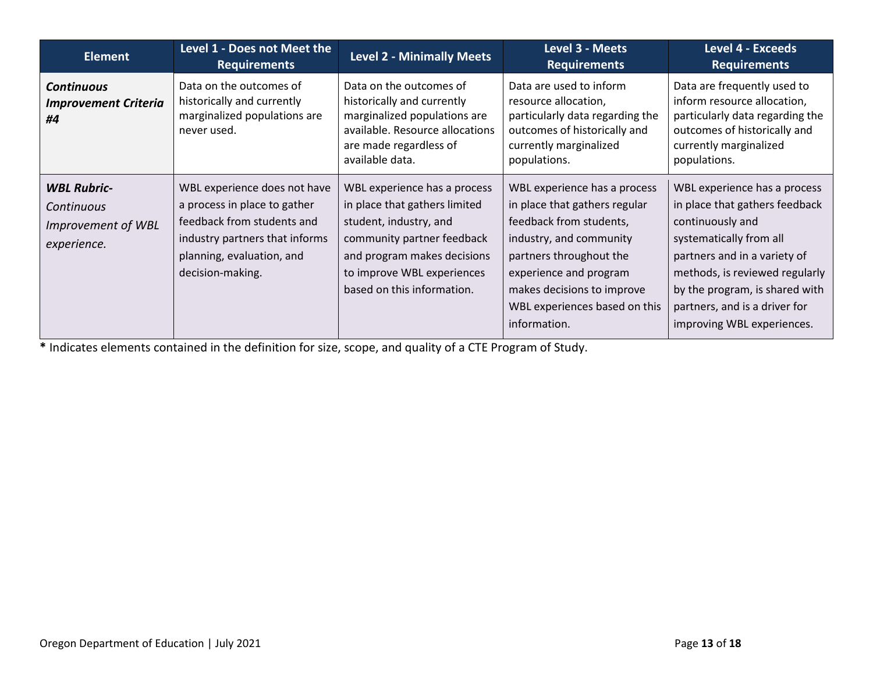| <b>Element</b>                                                        | Level 1 - Does not Meet the<br><b>Requirements</b>                                                                                                                            | <b>Level 2 - Minimally Meets</b>                                                                                                                                                                                 | Level 3 - Meets<br><b>Requirements</b>                                                                                                                                                                                                                  | <b>Level 4 - Exceeds</b><br><b>Requirements</b>                                                                                                                                                                                                                                  |
|-----------------------------------------------------------------------|-------------------------------------------------------------------------------------------------------------------------------------------------------------------------------|------------------------------------------------------------------------------------------------------------------------------------------------------------------------------------------------------------------|---------------------------------------------------------------------------------------------------------------------------------------------------------------------------------------------------------------------------------------------------------|----------------------------------------------------------------------------------------------------------------------------------------------------------------------------------------------------------------------------------------------------------------------------------|
| <b>Continuous</b><br><b>Improvement Criteria</b><br>#4                | Data on the outcomes of<br>historically and currently<br>marginalized populations are<br>never used.                                                                          | Data on the outcomes of<br>historically and currently<br>marginalized populations are<br>available. Resource allocations<br>are made regardless of<br>available data.                                            | Data are used to inform<br>resource allocation,<br>particularly data regarding the<br>outcomes of historically and<br>currently marginalized<br>populations.                                                                                            | Data are frequently used to<br>inform resource allocation,<br>particularly data regarding the<br>outcomes of historically and<br>currently marginalized<br>populations.                                                                                                          |
| <b>WBL Rubric-</b><br>Continuous<br>Improvement of WBL<br>experience. | WBL experience does not have<br>a process in place to gather<br>feedback from students and<br>industry partners that informs<br>planning, evaluation, and<br>decision-making. | WBL experience has a process<br>in place that gathers limited<br>student, industry, and<br>community partner feedback<br>and program makes decisions<br>to improve WBL experiences<br>based on this information. | WBL experience has a process<br>in place that gathers regular<br>feedback from students,<br>industry, and community<br>partners throughout the<br>experience and program<br>makes decisions to improve<br>WBL experiences based on this<br>information. | WBL experience has a process<br>in place that gathers feedback<br>continuously and<br>systematically from all<br>partners and in a variety of<br>methods, is reviewed regularly<br>by the program, is shared with<br>partners, and is a driver for<br>improving WBL experiences. |

**\*** Indicates elements contained in the definition for size, scope, and quality of a CTE Program of Study.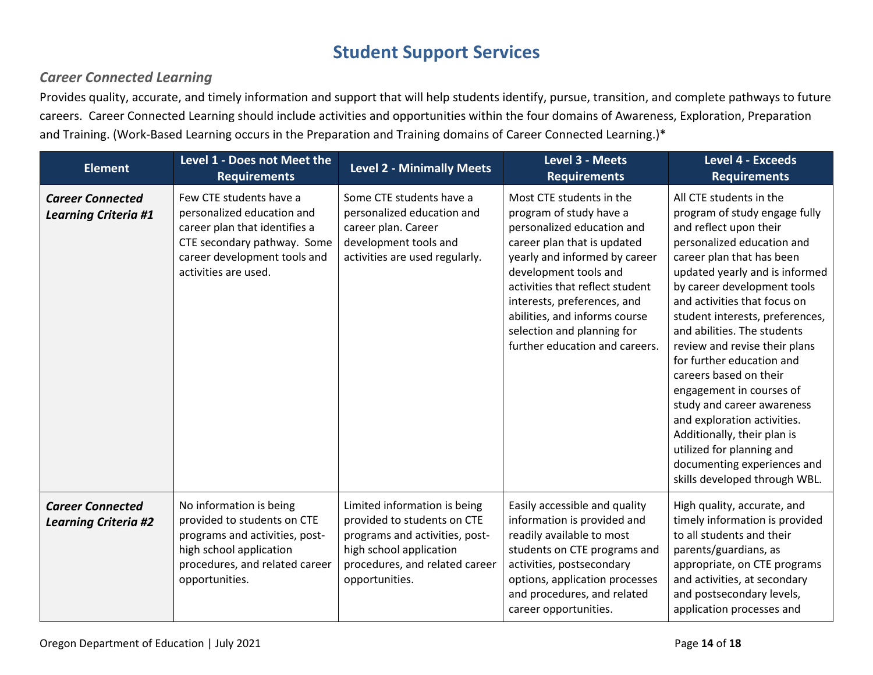### **Student Support Services**

#### *Career Connected Learning*

Provides quality, accurate, and timely information and support that will help students identify, pursue, transition, and complete pathways to future careers. Career Connected Learning should include activities and opportunities within the four domains of Awareness, Exploration, Preparation and Training. (Work-Based Learning occurs in the Preparation and Training domains of Career Connected Learning.)\*

| <b>Element</b>                                         | Level 1 - Does not Meet the<br><b>Requirements</b>                                                                                                                            | <b>Level 2 - Minimally Meets</b>                                                                                                                                             | Level 3 - Meets<br><b>Requirements</b>                                                                                                                                                                                                                                                                                                        | <b>Level 4 - Exceeds</b><br><b>Requirements</b>                                                                                                                                                                                                                                                                                                                                                                                                                                                                                                                                                                               |
|--------------------------------------------------------|-------------------------------------------------------------------------------------------------------------------------------------------------------------------------------|------------------------------------------------------------------------------------------------------------------------------------------------------------------------------|-----------------------------------------------------------------------------------------------------------------------------------------------------------------------------------------------------------------------------------------------------------------------------------------------------------------------------------------------|-------------------------------------------------------------------------------------------------------------------------------------------------------------------------------------------------------------------------------------------------------------------------------------------------------------------------------------------------------------------------------------------------------------------------------------------------------------------------------------------------------------------------------------------------------------------------------------------------------------------------------|
| <b>Career Connected</b><br><b>Learning Criteria #1</b> | Few CTE students have a<br>personalized education and<br>career plan that identifies a<br>CTE secondary pathway. Some<br>career development tools and<br>activities are used. | Some CTE students have a<br>personalized education and<br>career plan. Career<br>development tools and<br>activities are used regularly.                                     | Most CTE students in the<br>program of study have a<br>personalized education and<br>career plan that is updated<br>yearly and informed by career<br>development tools and<br>activities that reflect student<br>interests, preferences, and<br>abilities, and informs course<br>selection and planning for<br>further education and careers. | All CTE students in the<br>program of study engage fully<br>and reflect upon their<br>personalized education and<br>career plan that has been<br>updated yearly and is informed<br>by career development tools<br>and activities that focus on<br>student interests, preferences,<br>and abilities. The students<br>review and revise their plans<br>for further education and<br>careers based on their<br>engagement in courses of<br>study and career awareness<br>and exploration activities.<br>Additionally, their plan is<br>utilized for planning and<br>documenting experiences and<br>skills developed through WBL. |
| <b>Career Connected</b><br><b>Learning Criteria #2</b> | No information is being<br>provided to students on CTE<br>programs and activities, post-<br>high school application<br>procedures, and related career<br>opportunities.       | Limited information is being<br>provided to students on CTE<br>programs and activities, post-<br>high school application<br>procedures, and related career<br>opportunities. | Easily accessible and quality<br>information is provided and<br>readily available to most<br>students on CTE programs and<br>activities, postsecondary<br>options, application processes<br>and procedures, and related<br>career opportunities.                                                                                              | High quality, accurate, and<br>timely information is provided<br>to all students and their<br>parents/guardians, as<br>appropriate, on CTE programs<br>and activities, at secondary<br>and postsecondary levels,<br>application processes and                                                                                                                                                                                                                                                                                                                                                                                 |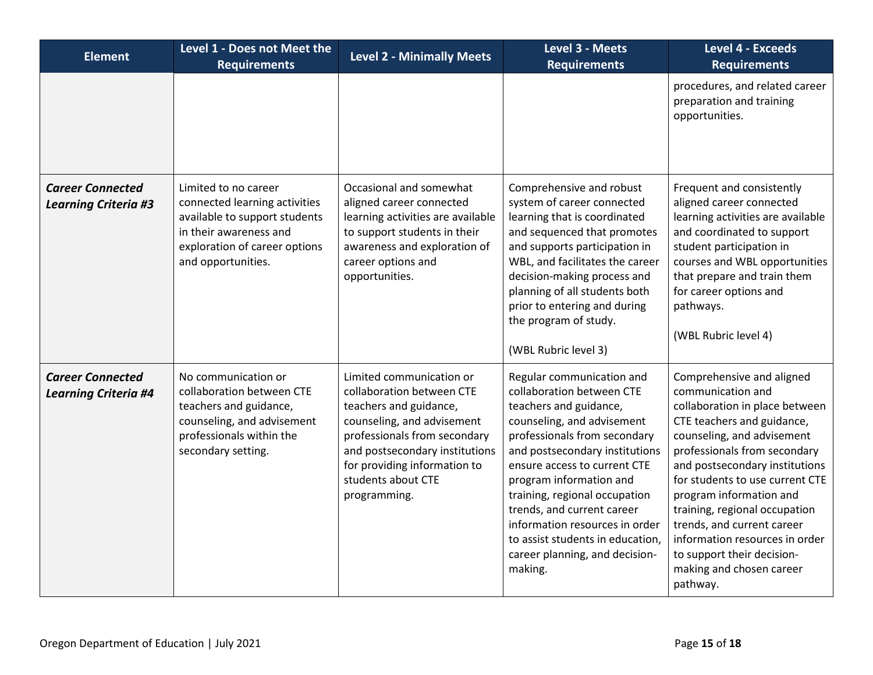| <b>Element</b>                                         | Level 1 - Does not Meet the<br><b>Requirements</b>                                                                                                                      | <b>Level 2 - Minimally Meets</b>                                                                                                                                                                                                                      | Level 3 - Meets<br><b>Requirements</b>                                                                                                                                                                                                                                                                                                                                                                                        | <b>Level 4 - Exceeds</b><br><b>Requirements</b>                                                                                                                                                                                                                                                                                                                                                                                                     |
|--------------------------------------------------------|-------------------------------------------------------------------------------------------------------------------------------------------------------------------------|-------------------------------------------------------------------------------------------------------------------------------------------------------------------------------------------------------------------------------------------------------|-------------------------------------------------------------------------------------------------------------------------------------------------------------------------------------------------------------------------------------------------------------------------------------------------------------------------------------------------------------------------------------------------------------------------------|-----------------------------------------------------------------------------------------------------------------------------------------------------------------------------------------------------------------------------------------------------------------------------------------------------------------------------------------------------------------------------------------------------------------------------------------------------|
|                                                        |                                                                                                                                                                         |                                                                                                                                                                                                                                                       |                                                                                                                                                                                                                                                                                                                                                                                                                               | procedures, and related career<br>preparation and training<br>opportunities.                                                                                                                                                                                                                                                                                                                                                                        |
| <b>Career Connected</b><br><b>Learning Criteria #3</b> | Limited to no career<br>connected learning activities<br>available to support students<br>in their awareness and<br>exploration of career options<br>and opportunities. | Occasional and somewhat<br>aligned career connected<br>learning activities are available<br>to support students in their<br>awareness and exploration of<br>career options and<br>opportunities.                                                      | Comprehensive and robust<br>system of career connected<br>learning that is coordinated<br>and sequenced that promotes<br>and supports participation in<br>WBL, and facilitates the career<br>decision-making process and<br>planning of all students both<br>prior to entering and during<br>the program of study.<br>(WBL Rubric level 3)                                                                                    | Frequent and consistently<br>aligned career connected<br>learning activities are available<br>and coordinated to support<br>student participation in<br>courses and WBL opportunities<br>that prepare and train them<br>for career options and<br>pathways.<br>(WBL Rubric level 4)                                                                                                                                                                 |
| <b>Career Connected</b><br><b>Learning Criteria #4</b> | No communication or<br>collaboration between CTE<br>teachers and guidance,<br>counseling, and advisement<br>professionals within the<br>secondary setting.              | Limited communication or<br>collaboration between CTE<br>teachers and guidance,<br>counseling, and advisement<br>professionals from secondary<br>and postsecondary institutions<br>for providing information to<br>students about CTE<br>programming. | Regular communication and<br>collaboration between CTE<br>teachers and guidance,<br>counseling, and advisement<br>professionals from secondary<br>and postsecondary institutions<br>ensure access to current CTE<br>program information and<br>training, regional occupation<br>trends, and current career<br>information resources in order<br>to assist students in education,<br>career planning, and decision-<br>making. | Comprehensive and aligned<br>communication and<br>collaboration in place between<br>CTE teachers and guidance,<br>counseling, and advisement<br>professionals from secondary<br>and postsecondary institutions<br>for students to use current CTE<br>program information and<br>training, regional occupation<br>trends, and current career<br>information resources in order<br>to support their decision-<br>making and chosen career<br>pathway. |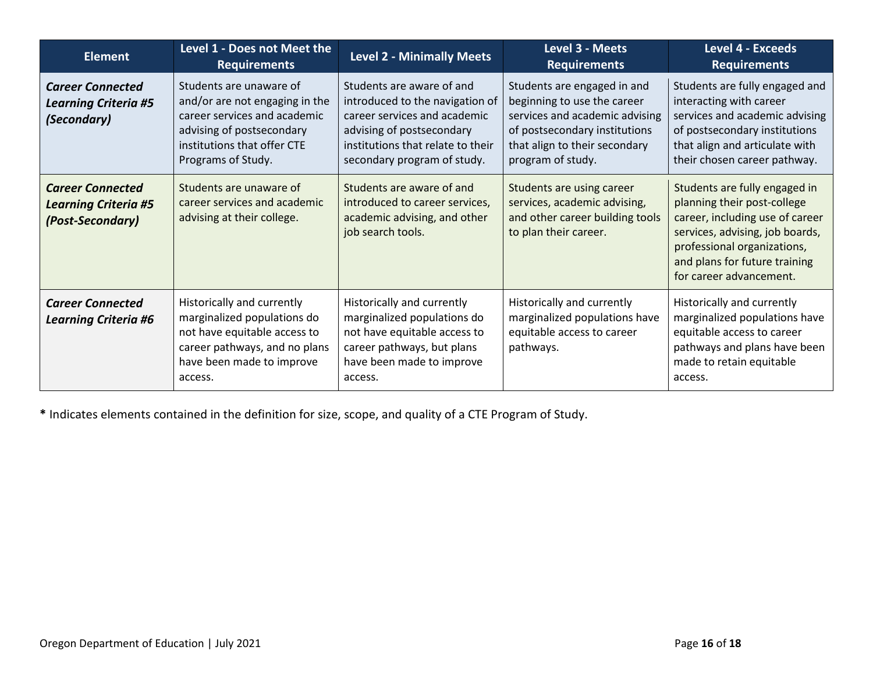| <b>Element</b>                                                             | Level 1 - Does not Meet the<br><b>Requirements</b>                                                                                                                          | <b>Level 2 - Minimally Meets</b>                                                                                                                                                              | Level 3 - Meets<br><b>Requirements</b>                                                                                                                                              | <b>Level 4 - Exceeds</b><br><b>Requirements</b>                                                                                                                                                                               |
|----------------------------------------------------------------------------|-----------------------------------------------------------------------------------------------------------------------------------------------------------------------------|-----------------------------------------------------------------------------------------------------------------------------------------------------------------------------------------------|-------------------------------------------------------------------------------------------------------------------------------------------------------------------------------------|-------------------------------------------------------------------------------------------------------------------------------------------------------------------------------------------------------------------------------|
| <b>Career Connected</b><br><b>Learning Criteria #5</b><br>(Secondary)      | Students are unaware of<br>and/or are not engaging in the<br>career services and academic<br>advising of postsecondary<br>institutions that offer CTE<br>Programs of Study. | Students are aware of and<br>introduced to the navigation of<br>career services and academic<br>advising of postsecondary<br>institutions that relate to their<br>secondary program of study. | Students are engaged in and<br>beginning to use the career<br>services and academic advising<br>of postsecondary institutions<br>that align to their secondary<br>program of study. | Students are fully engaged and<br>interacting with career<br>services and academic advising<br>of postsecondary institutions<br>that align and articulate with<br>their chosen career pathway.                                |
| <b>Career Connected</b><br><b>Learning Criteria #5</b><br>(Post-Secondary) | Students are unaware of<br>career services and academic<br>advising at their college.                                                                                       | Students are aware of and<br>introduced to career services,<br>academic advising, and other<br>job search tools.                                                                              | Students are using career<br>services, academic advising,<br>and other career building tools<br>to plan their career.                                                               | Students are fully engaged in<br>planning their post-college<br>career, including use of career<br>services, advising, job boards,<br>professional organizations,<br>and plans for future training<br>for career advancement. |
| <b>Career Connected</b><br><b>Learning Criteria #6</b>                     | Historically and currently<br>marginalized populations do<br>not have equitable access to<br>career pathways, and no plans<br>have been made to improve<br>access.          | Historically and currently<br>marginalized populations do<br>not have equitable access to<br>career pathways, but plans<br>have been made to improve<br>access.                               | Historically and currently<br>marginalized populations have<br>equitable access to career<br>pathways.                                                                              | Historically and currently<br>marginalized populations have<br>equitable access to career<br>pathways and plans have been<br>made to retain equitable<br>access.                                                              |

**\*** Indicates elements contained in the definition for size, scope, and quality of a CTE Program of Study.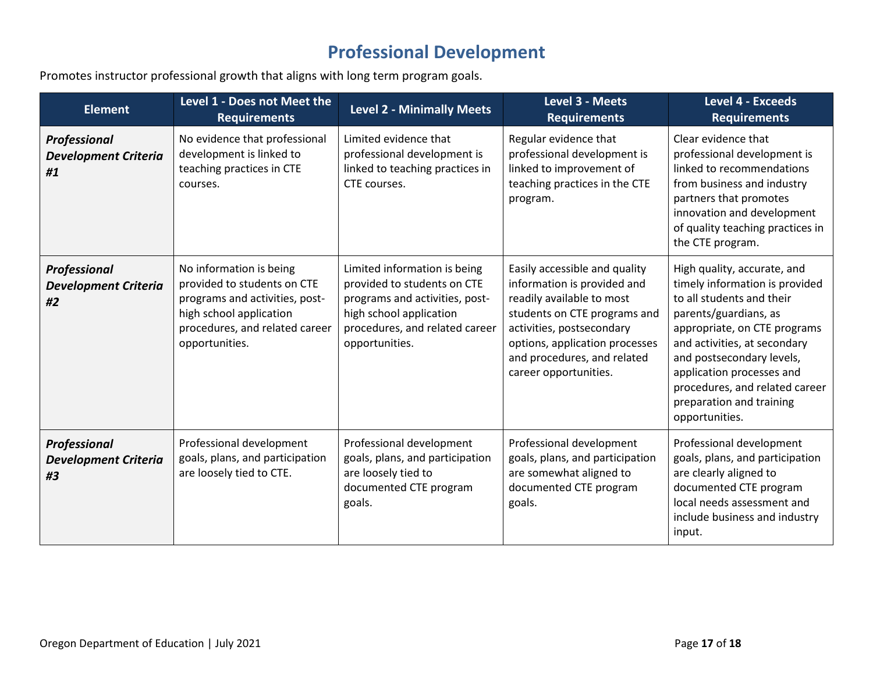### **Professional Development**

Promotes instructor professional growth that aligns with long term program goals.

| <b>Element</b>                                    | Level 1 - Does not Meet the<br><b>Requirements</b>                                                                                                                      | <b>Level 2 - Minimally Meets</b>                                                                                                                                             | Level 3 - Meets<br><b>Requirements</b>                                                                                                                                                                                                           | <b>Level 4 - Exceeds</b><br><b>Requirements</b>                                                                                                                                                                                                                                                                               |
|---------------------------------------------------|-------------------------------------------------------------------------------------------------------------------------------------------------------------------------|------------------------------------------------------------------------------------------------------------------------------------------------------------------------------|--------------------------------------------------------------------------------------------------------------------------------------------------------------------------------------------------------------------------------------------------|-------------------------------------------------------------------------------------------------------------------------------------------------------------------------------------------------------------------------------------------------------------------------------------------------------------------------------|
| Professional<br><b>Development Criteria</b><br>#1 | No evidence that professional<br>development is linked to<br>teaching practices in CTE<br>courses.                                                                      | Limited evidence that<br>professional development is<br>linked to teaching practices in<br>CTE courses.                                                                      | Regular evidence that<br>professional development is<br>linked to improvement of<br>teaching practices in the CTE<br>program.                                                                                                                    | Clear evidence that<br>professional development is<br>linked to recommendations<br>from business and industry<br>partners that promotes<br>innovation and development<br>of quality teaching practices in<br>the CTE program.                                                                                                 |
| Professional<br><b>Development Criteria</b><br>#2 | No information is being<br>provided to students on CTE<br>programs and activities, post-<br>high school application<br>procedures, and related career<br>opportunities. | Limited information is being<br>provided to students on CTE<br>programs and activities, post-<br>high school application<br>procedures, and related career<br>opportunities. | Easily accessible and quality<br>information is provided and<br>readily available to most<br>students on CTE programs and<br>activities, postsecondary<br>options, application processes<br>and procedures, and related<br>career opportunities. | High quality, accurate, and<br>timely information is provided<br>to all students and their<br>parents/guardians, as<br>appropriate, on CTE programs<br>and activities, at secondary<br>and postsecondary levels,<br>application processes and<br>procedures, and related career<br>preparation and training<br>opportunities. |
| Professional<br><b>Development Criteria</b><br>#3 | Professional development<br>goals, plans, and participation<br>are loosely tied to CTE.                                                                                 | Professional development<br>goals, plans, and participation<br>are loosely tied to<br>documented CTE program<br>goals.                                                       | Professional development<br>goals, plans, and participation<br>are somewhat aligned to<br>documented CTE program<br>goals.                                                                                                                       | Professional development<br>goals, plans, and participation<br>are clearly aligned to<br>documented CTE program<br>local needs assessment and<br>include business and industry<br>input.                                                                                                                                      |